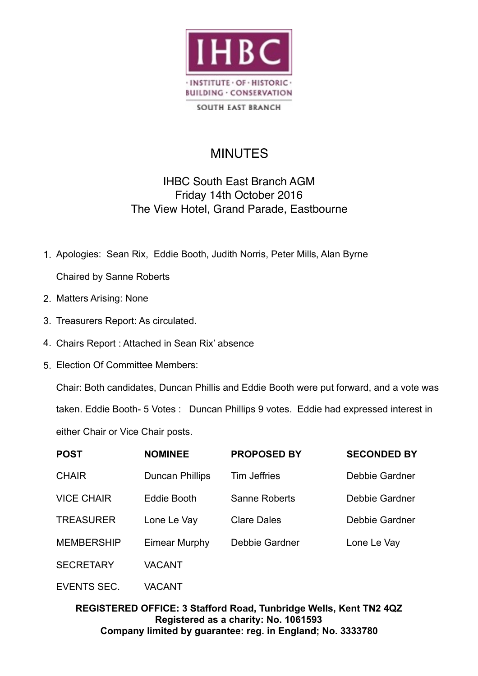

**SOUTH EAST BRANCH** 

## **MINUTES**

## IHBC South East Branch AGM Friday 14th October 2016 The View Hotel, Grand Parade, Eastbourne

- 1. Apologies: Sean Rix, Eddie Booth, Judith Norris, Peter Mills, Alan Byrne Chaired by Sanne Roberts
- 2. Matters Arising: None
- 3. Treasurers Report: As circulated.
- 4. Chairs Report : Attached in Sean Rix' absence
- 5. Election Of Committee Members:

Chair: Both candidates, Duncan Phillis and Eddie Booth were put forward, and a vote was taken. Eddie Booth- 5 Votes : Duncan Phillips 9 votes. Eddie had expressed interest in either Chair or Vice Chair posts.

| <b>POST</b>       | <b>NOMINEE</b>         | <b>PROPOSED BY</b>  | <b>SECONDED BY</b> |
|-------------------|------------------------|---------------------|--------------------|
| <b>CHAIR</b>      | <b>Duncan Phillips</b> | <b>Tim Jeffries</b> | Debbie Gardner     |
| <b>VICE CHAIR</b> | Eddie Booth            | Sanne Roberts       | Debbie Gardner     |
| <b>TREASURER</b>  | Lone Le Vay            | <b>Clare Dales</b>  | Debbie Gardner     |
| <b>MEMBERSHIP</b> | <b>Eimear Murphy</b>   | Debbie Gardner      | Lone Le Vay        |
| <b>SECRETARY</b>  | <b>VACANT</b>          |                     |                    |
|                   |                        |                     |                    |

EVENTS SEC. VACANT

## **REGISTERED OFFICE: 3 Stafford Road, Tunbridge Wells, Kent TN2 4QZ Registered as a charity: No. 1061593 Company limited by guarantee: reg. in England; No. 3333780**